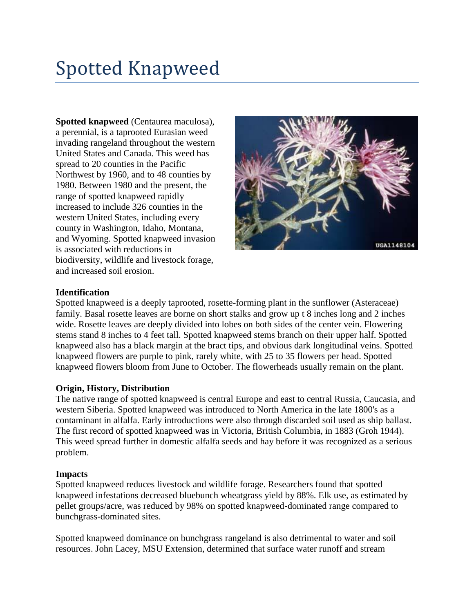# Spotted Knapweed

**Spotted knapweed** (Centaurea maculosa), a perennial, is a taprooted Eurasian weed invading rangeland throughout the western United States and Canada. This weed has spread to 20 counties in the Pacific Northwest by 1960, and to 48 counties by 1980. Between 1980 and the present, the range of spotted knapweed rapidly increased to include 326 counties in the western United States, including every county in Washington, Idaho, Montana, and Wyoming. Spotted knapweed invasion is associated with reductions in biodiversity, wildlife and livestock forage, and increased soil erosion.



### **Identification**

Spotted knapweed is a deeply taprooted, rosette-forming plant in the sunflower (Asteraceae) family. Basal rosette leaves are borne on short stalks and grow up t 8 inches long and 2 inches wide. Rosette leaves are deeply divided into lobes on both sides of the center vein. Flowering stems stand 8 inches to 4 feet tall. Spotted knapweed stems branch on their upper half. Spotted knapweed also has a black margin at the bract tips, and obvious dark longitudinal veins. Spotted knapweed flowers are purple to pink, rarely white, with 25 to 35 flowers per head. Spotted knapweed flowers bloom from June to October. The flowerheads usually remain on the plant.

#### **Origin, History, Distribution**

The native range of spotted knapweed is central Europe and east to central Russia, Caucasia, and western Siberia. Spotted knapweed was introduced to North America in the late 1800's as a contaminant in alfalfa. Early introductions were also through discarded soil used as ship ballast. The first record of spotted knapweed was in Victoria, British Columbia, in 1883 (Groh 1944). This weed spread further in domestic alfalfa seeds and hay before it was recognized as a serious problem.

#### **Impacts**

Spotted knapweed reduces livestock and wildlife forage. Researchers found that spotted knapweed infestations decreased bluebunch wheatgrass yield by 88%. Elk use, as estimated by pellet groups/acre, was reduced by 98% on spotted knapweed-dominated range compared to bunchgrass-dominated sites.

Spotted knapweed dominance on bunchgrass rangeland is also detrimental to water and soil resources. John Lacey, MSU Extension, determined that surface water runoff and stream